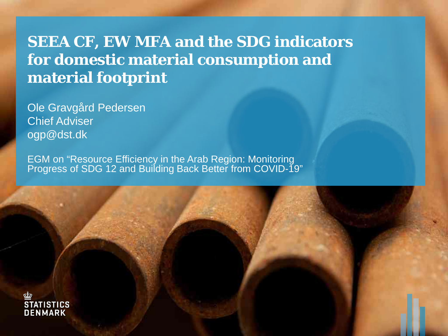#### **SEEA CF, EW MFA and the SDG indicators for domestic material consumption and material footprint**

Ole Gravgård Pedersen Chief Adviser ogp@dst.dk

EGM on "Resource Efficiency in the Arab Region: Monitoring Progress of SDG 12 and Building Back Better from COVID-19"

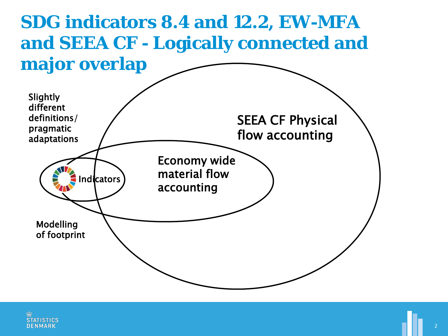

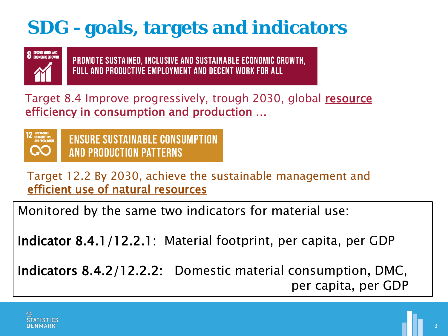## **SDG - goals, targets and indicators**



PROMOTE SUSTAINED, INCLUSIVE AND SUSTAINABLE ECONOMIC GROWTH, **FULL AND PRODUCTIVE EMPLOYMENT AND DECENT WORK FOR ALL** 

Target 8.4 Improve progressively, trough 2030, global resource efficiency in consumption and production …



**ENSURE SUSTAINABLE CONSUMPTION AND PRODUCTION PATTERNS** 

Target 12.2 By 2030, achieve the sustainable management and efficient use of natural resources

Monitored by the same two indicators for material use:

Indicator 8.4.1/12.2.1: Material footprint, per capita, per GDP

Indicators 8.4.2/12.2.2: Domestic material consumption, DMC, per capita, per GDP

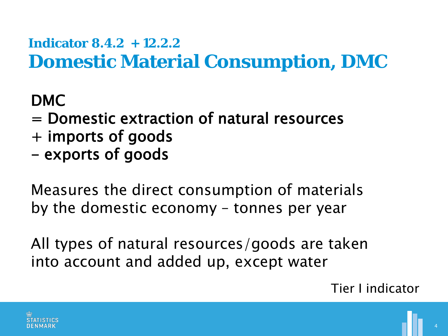### **Indicator 8.4.2 + 12.2.2 Domestic Material Consumption, DMC**

#### DMC

- = Domestic extraction of natural resources
- + imports of goods
- exports of goods

Measures the direct consumption of materials by the domestic economy – tonnes per year

All types of natural resources/goods are taken into account and added up, except water

#### Tier I indicator

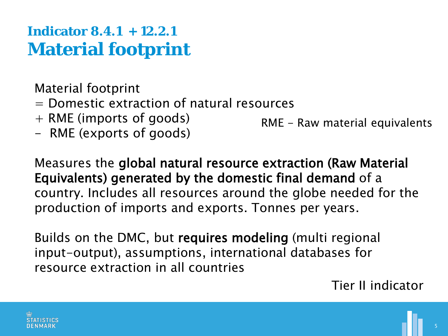### **Indicator 8.4.1 + 12.2.1 Material footprint**

Material footprint

- = Domestic extraction of natural resources
- + RME (imports of goods)
- RME (exports of goods)

RME - Raw material equivalents

Measures the global natural resource extraction (Raw Material Equivalents) generated by the domestic final demand of a country. Includes all resources around the globe needed for the production of imports and exports. Tonnes per years.

Builds on the DMC, but requires modeling (multi regional input-output), assumptions, international databases for resource extraction in all countries

Tier II indicator

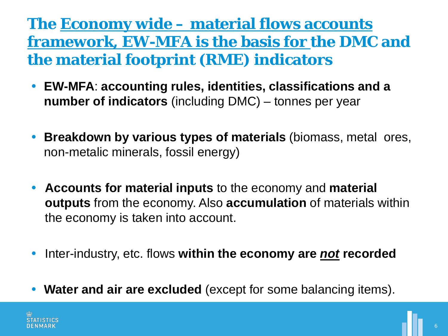**The Economy wide – material flows accounts framework, EW-MFA is the basis for the DMC and the material footprint (RME) indicators**

- **EW-MFA**: **accounting rules, identities, classifications and a number of indicators** (including DMC) – tonnes per year
- **Breakdown by various types of materials** (biomass, metal ores, non-metalic minerals, fossil energy)
- **Accounts for material inputs** to the economy and **material outputs** from the economy. Also **accumulation** of materials within the economy is taken into account.
- **•** Inter-industry, etc. flows within the economy are *not* recorded
- **Water and air are excluded** (except for some balancing items).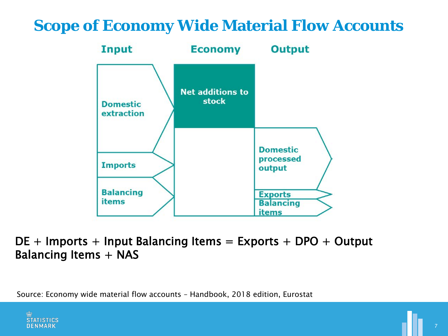#### **Scope of Economy Wide Material Flow Accounts**



#### $DE +$  Imports + Input Balancing Items = Exports + DPO + Output Balancing Items + NAS

Source: Economy wide material flow accounts – Handbook, 2018 edition, Eurostat

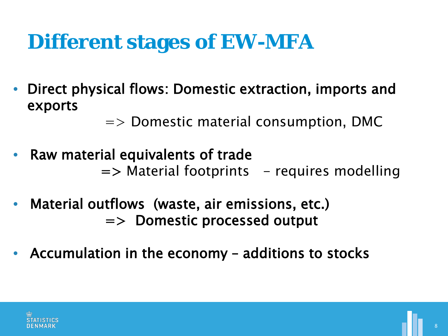## **Different stages of EW-MFA**

• Direct physical flows: Domestic extraction, imports and exports

 $\Rightarrow$  Domestic material consumption, DMC

- Raw material equivalents of trade  $\Rightarrow$  Material footprints  $-$  requires modelling
- Material outflows (waste, air emissions, etc.) => Domestic processed output
- Accumulation in the economy additions to stocks

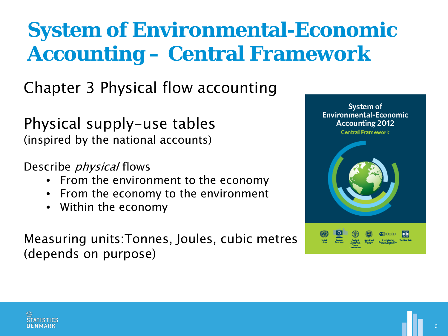# **System of Environmental-Economic Accounting – Central Framework**

Chapter 3 Physical flow accounting

Physical supply-use tables (inspired by the national accounts)

Describe *physical* flows

- From the environment to the economy
- From the economy to the environment
- Within the economy

Measuring units:Tonnes, Joules, cubic metres (depends on purpose)



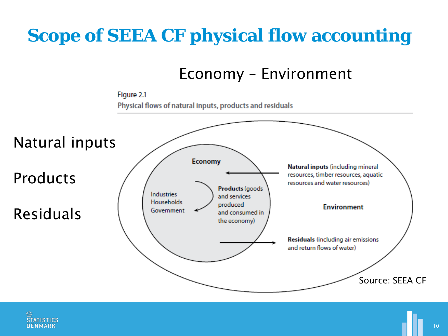## **Scope of SEEA CF physical flow accounting**

Economy – Environment



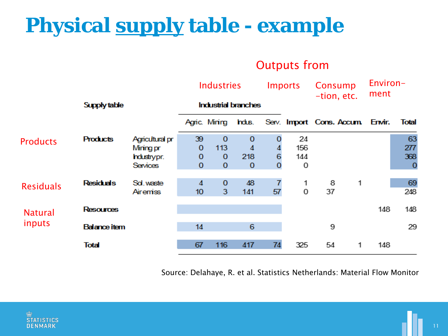# **Physical supply table - example**

#### Outputs from

|                          | Supply table        |                 | <b>Industries</b><br><b>Industrial branches</b> |             |             | <b>Imports</b> |     | Consump<br>-tion, etc.                                |   | Environ-<br>ment |             |
|--------------------------|---------------------|-----------------|-------------------------------------------------|-------------|-------------|----------------|-----|-------------------------------------------------------|---|------------------|-------------|
|                          |                     |                 |                                                 |             |             |                |     | Agric. Mining Indus. Serv. Import Cons. Accum. Envir. |   | Total            |             |
| <b>Products</b>          | <b>Products</b>     | Agricultural pr | 39                                              | $\mathbf 0$ | $\mathbf 0$ | 0              | 24  |                                                       |   |                  | 63          |
|                          |                     | Mining pr       | $\mathbf 0$                                     | 113         | 4           | 4              | 156 |                                                       |   |                  | 277         |
|                          |                     | hdustrypr.      | $\mathbf 0$                                     | $\mathbf 0$ | 218         | 6              | 144 |                                                       |   |                  | 368         |
|                          |                     | Services        | $\mathbf{0}$                                    | $\mathbf 0$ | $\mathbf 0$ | $\bf{0}$       | 0   |                                                       |   |                  | $\mathbf 0$ |
| <b>Residuals</b>         | <b>Residuals</b>    | Sd. waste       | 4                                               | $\mathbf 0$ | 48          | $\overline{7}$ | 1   | 8                                                     | 1 |                  | 69          |
|                          |                     | Airemiss        | 10 <sup>°</sup>                                 | 3           | 141         | 57             | 0   | 37                                                    |   |                  | 248         |
| <b>Natural</b><br>inputs | <b>Resources</b>    |                 |                                                 |             |             |                |     |                                                       |   | 148              | 148         |
|                          | <b>Balance item</b> |                 | 14                                              |             | 6           |                |     | 9                                                     |   |                  | 29          |
|                          | Total               |                 | 67                                              | 116         | 417         | 74             | 325 | 54                                                    | 1 | 148              |             |

Source: Delahaye, R. et al. Statistics Netherlands: Material Flow Monitor

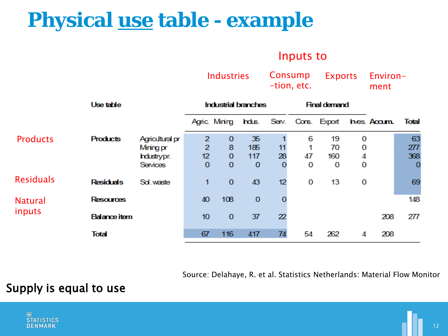## **Physical use table - example**

#### Inputs to

Exports

Industries Consump

Environ-

|                  |                     |                 | 1114434165                 |             | Consump<br>-tion, etc. |    | <b>EXPULLS</b>      |                                         | <b>ELIVILUIT</b><br>ment |             |             |
|------------------|---------------------|-----------------|----------------------------|-------------|------------------------|----|---------------------|-----------------------------------------|--------------------------|-------------|-------------|
|                  | Use table           |                 | <b>Industrial branches</b> |             |                        |    | <b>Final demand</b> |                                         |                          |             |             |
|                  |                     |                 |                            |             |                        |    |                     | Agric. Mining Indus. Serv. Cons. Export |                          | hes. Accum. | Total       |
| <b>Products</b>  | <b>Products</b>     | Agricultural pr | $\overline{2}$             | $\mathbf 0$ | 35                     |    | 6                   | 19                                      | 0                        |             | 63          |
|                  |                     | Mining pr       | $\overline{2}$             | 8           | 185                    | 11 | 1                   | 70                                      | 0                        |             | 277         |
|                  |                     | hdustrypr.      | 12                         | $\mathbf 0$ | 117                    | 28 | 47                  | 160                                     | 4                        |             | 368         |
|                  |                     | Services        | $\mathbf 0$                | $\mathbf 0$ | $\mathbf 0$            | 0  | 0                   | 0                                       | 0                        |             | $\mathbf 0$ |
| <b>Residuals</b> | <b>Residuals</b>    | Sol. waste      | 1                          | $\mathbf 0$ | 43                     | 12 | 0                   | 13                                      | 0                        |             | 69          |
| <b>Natural</b>   | <b>Resources</b>    |                 | 40                         | 108         | $\mathbf 0$            | O  |                     |                                         |                          |             | 148         |
| inputs           | <b>Balance item</b> |                 | 10 <sub>10</sub>           | $\mathbf 0$ | 37                     | 22 |                     |                                         |                          | 208         | 277         |
|                  | Total               |                 | 67                         | 116         | 417                    | 74 | 54                  | 262                                     | 4                        | 208         |             |

Source: Delahaye, R. et al. Statistics Netherlands: Material Flow Monitor

#### Supply is equal to use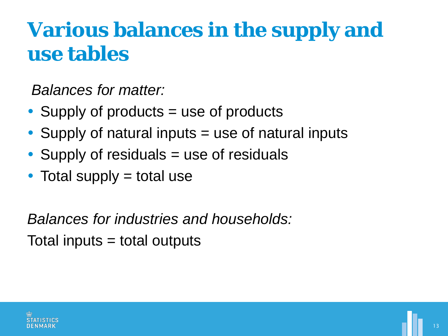## **Various balances in the supply and use tables**

*Balances for matter:*

- Supply of products = use of products
- Supply of natural inputs  $=$  use of natural inputs
- Supply of residuals = use of residuals
- $\bullet$  Total supply = total use

*Balances for industries and households:* Total inputs = total outputs

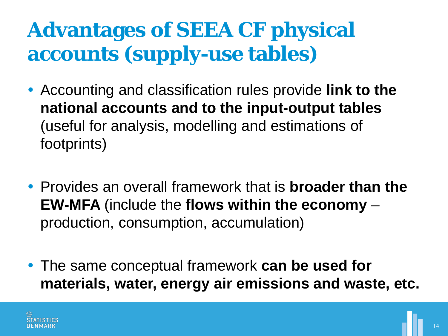# **Advantages of SEEA CF physical accounts (supply-use tables)**

- Accounting and classification rules provide **link to the national accounts and to the input-output tables** (useful for analysis, modelling and estimations of footprints)
- Provides an overall framework that is **broader than the EW-MFA** (include the **flows within the economy** – production, consumption, accumulation)
- The same conceptual framework **can be used for materials, water, energy air emissions and waste, etc.**